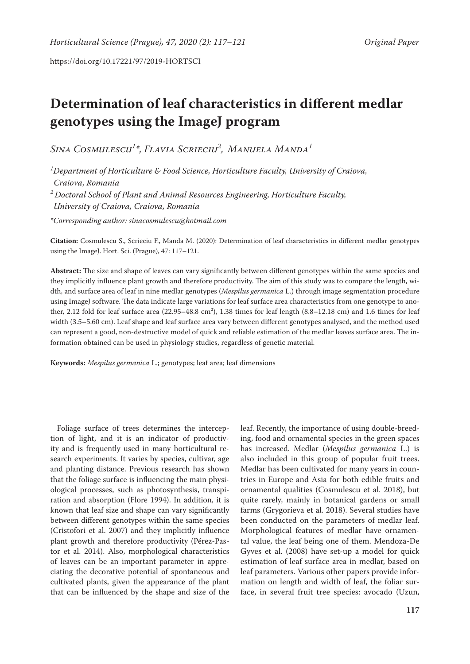# **Determination of leaf characteristics in different medlar genotypes using the ImageJ program**

*Sina Cosmulescu1 \*, Flavia Scrieciu2 , Manuela Manda1*

*1 Department of Horticulture & Food Science, Horticulture Faculty, University of Craiova, Craiova, Romania* 

*2 Doctoral School of Plant and Animal Resources Engineering, Horticulture Faculty, University of Craiova, Craiova, Romania* 

*\*Corresponding author: sinacosmulescu@hotmail.com*

**Citation:** Cosmulescu S., Scrieciu F., Manda M. (2020): Determination of leaf characteristics in different medlar genotypes using the ImageJ. Hort. Sci. (Prague), 47: 117–121.

**Abstract:** The size and shape of leaves can vary significantly between different genotypes within the same species and they implicitly influence plant growth and therefore productivity. The aim of this study was to compare the length, width, and surface area of leaf in nine medlar genotypes (*Mespilus germanica* L.) through image segmentation procedure using ImageJ software. The data indicate large variations for leaf surface area characteristics from one genotype to another, 2.12 fold for leaf surface area  $(22.95-48.8 \text{ cm}^2)$ , 1.38 times for leaf length  $(8.8-12.18 \text{ cm})$  and 1.6 times for leaf width (3.5–5.60 cm). Leaf shape and leaf surface area vary between different genotypes analysed, and the method used can represent a good, non-destructive model of quick and reliable estimation of the medlar leaves surface area. The information obtained can be used in physiology studies, regardless of genetic material.

**Keywords:** *Mespilus germanica* L.; genotypes; leaf area; leaf dimensions

Foliage surface of trees determines the interception of light, and it is an indicator of productivity and is frequently used in many horticultural research experiments. It varies by species, cultivar, age and planting distance. Previous research has shown that the foliage surface is influencing the main physiological processes, such as photosynthesis, transpiration and absorption (Flore 1994). In addition, it is known that leaf size and shape can vary significantly between different genotypes within the same species (Cristofori et al. 2007) and they implicitly influence plant growth and therefore productivity (Pérez-Pastor et al. 2014). Also, morphological characteristics of leaves can be an important parameter in appreciating the decorative potential of spontaneous and cultivated plants, given the appearance of the plant that can be influenced by the shape and size of the leaf. Recently, the importance of using double-breeding, food and ornamental species in the green spaces has increased. Medlar (*Mespilus germanica* L.) is also included in this group of popular fruit trees. Medlar has been cultivated for many years in countries in Europe and Asia for both edible fruits and ornamental qualities (Cosmulescu et al. 2018), but quite rarely, mainly in botanical gardens or small farms (Grygorieva et al. 2018). Several studies have been conducted on the parameters of medlar leaf. Morphological features of medlar have ornamental value, the leaf being one of them. Mendoza-De Gyves et al. (2008) have set-up a model for quick estimation of leaf surface area in medlar, based on leaf parameters. Various other papers provide information on length and width of leaf, the foliar surface, in several fruit tree species: avocado (Uzun,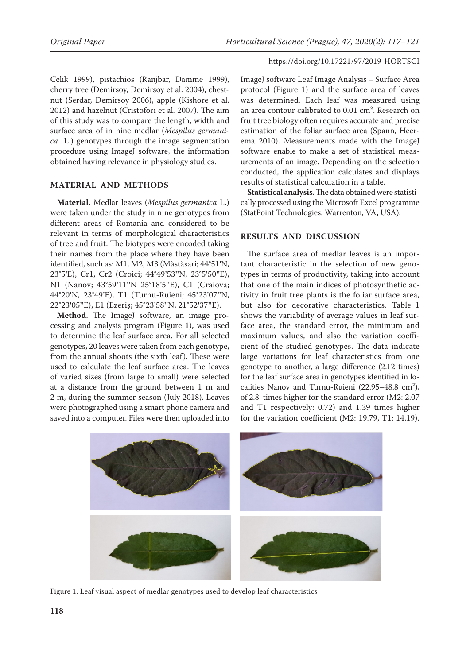Celik 1999), pistachios (Ranjbar, Damme 1999), cherry tree (Demirsoy, Demirsoy et al. 2004), chestnut (Serdar, Demirsoy 2006), apple (Kishore et al. 2012) and hazelnut (Cristofori et al. 2007). The aim of this study was to compare the length, width and surface area of in nine medlar (*Mespilus germanica* L.) genotypes through the image segmentation procedure using ImageJ software, the information obtained having relevance in physiology studies.

# **MATERIAL AND METHODS**

**Material.** Medlar leaves (*Mespilus germanica* L.) were taken under the study in nine genotypes from different areas of Romania and considered to be relevant in terms of morphological characteristics of tree and fruit. The biotypes were encoded taking their names from the place where they have been identified, such as: M1, M2, M3 (Măstăsari; 44°51**'**N, 23°5**'**E), Cr1, Cr2 (Croici; 44°49**'**53**''**N, 23°5**'**50**''**E), N1 (Nanov; 43°59**'**11**''**N 25°18**'**5**''**E), C1 (Craiova; 44°20**'**N, 23°49**'**E), T1 (Turnu-Ruieni; 45°23**'**07**''**N, 22°23**'**05**''**E), E1 (Ezeriș; 45°23**'**58**''**N, 21°52**'**37**''**E).

Method. The ImageJ software, an image processing and analysis program (Figure 1), was used to determine the leaf surface area. For all selected genotypes, 20 leaves were taken from each genotype, from the annual shoots (the sixth leaf). These were used to calculate the leaf surface area. The leaves of varied sizes (from large to small) were selected at a distance from the ground between 1 m and 2 m, during the summer season (July 2018). Leaves were photographed using a smart phone camera and saved into a computer. Files were then uploaded into ImageJ software Leaf Image Analysis – Surface Area protocol (Figure 1) and the surface area of leaves was determined. Each leaf was measured using an area contour calibrated to 0.01 cm². Research on fruit tree biology often requires accurate and precise estimation of the foliar surface area (Spann, Heerema 2010). Measurements made with the ImageJ software enable to make a set of statistical measurements of an image. Depending on the selection conducted, the application calculates and displays results of statistical calculation in a table.

**Statistical analysis**. The data obtained were statistically processed using the Microsoft Excel programme (StatPoint Technologies, Warrenton, VA, USA).

### **RESULTS AND DISCUSSION**

The surface area of medlar leaves is an important characteristic in the selection of new genotypes in terms of productivity, taking into account that one of the main indices of photosynthetic activity in fruit tree plants is the foliar surface area, but also for decorative characteristics. Table 1 shows the variability of average values in leaf surface area, the standard error, the minimum and maximum values, and also the variation coefficient of the studied genotypes. The data indicate large variations for leaf characteristics from one genotype to another, a large difference (2.12 times) for the leaf surface area in genotypes identified in localities Nanov and Turnu-Ruieni (22.95–48.8 cm²), of 2.8 times higher for the standard error (M2: 2.07 and T1 respectively: 0.72) and 1.39 times higher for the variation coefficient (M2: 19.79, T1: 14.19).



Figure 1. Leaf visual aspect of medlar genotypes used to develop leaf characteristics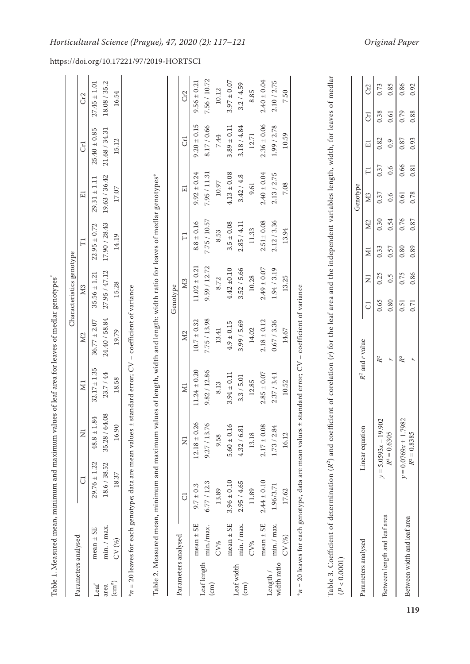|                            |               | Table 1. Measured mean, minimum and maximum values of leaf area for leaves of medlar genotypes |                    |                  |                  |                          |                  |                  |                  |                  |
|----------------------------|---------------|------------------------------------------------------------------------------------------------|--------------------|------------------|------------------|--------------------------|------------------|------------------|------------------|------------------|
|                            |               |                                                                                                |                    |                  |                  | Characteristics genotype |                  |                  |                  |                  |
| Parameters analysed        |               | ರ                                                                                              | Z                  | $\Xi$            | $\Sigma$         | M <sub>3</sub>           | $\Xi$            | E1               | GI               | Cr <sub>2</sub>  |
| Leaf                       | mean $\pm$ SE | $29.76 \pm 1.22$                                                                               | 1.84<br>$48.8 \pm$ | $32.17 \pm 1.35$ | $36.77 \pm 2.07$ | $35.56 \pm 1.21$         | $22.95 \pm 0.72$ | $29.31 \pm 1.11$ | $25.40 \pm 0.85$ | $27.45 \pm 1.01$ |
| area                       | min. / max.   | 18.6 / 38.52                                                                                   | 35.28 / 64.08      | 23.7 / 44        | 24.40 / 58.84    | 27.95 / 47.12            | 17.90 / 28.43    | 19.63 / 36.42    | 21.68 / 34.31    | 18.08 / 35.2     |
| $\left(\text{cm}^2\right)$ | CV(%)         | 18.37                                                                                          | 16.90              | 18.58            | 19.79            | 15.28                    | 14.19            | 17.07            | 15.12            | 16.54            |
| Parameters analysed        |               | J                                                                                              | Ξ                  | $\Xi$            | $\overline{M}$   | Μ3<br>Genotype           | $\Xi$            | $\Xi$            | <b>Cr1</b>       | Cr2              |
|                            | mean $\pm$ SE | $9.7 \pm 0.3$                                                                                  | $12.18 \pm 0.26$   | $11.24 \pm 0.20$ | $10.7 \pm 0.32$  | $11.02 \pm 0.21$         | $8.8 \pm 0.16$   | $9.92 \pm 0.24$  | $9.20 \pm 0.15$  | $9.56 \pm 0.21$  |
| Leaf length                | min./max.     | 6.77 / 12.3                                                                                    | 9.27 / 13.76       | 9.82 / 12.86     | 7.75 / 13.98     | 9.59 / 12.72             | 7.75 / 10.57     | 7.95 / 11.31     | 8.17 / 0.66      | 7.56 / 10.72     |
| $\binom{cm}{ }$            | CV%           | 13.89                                                                                          | 9.58               | 8.13             | 13.41            | 8.72                     | 8.53             | 10.97            | 7.44             | 10.12            |
|                            | mean $\pm$ SE | $3.96 \pm 0.10$                                                                                | $5.60 \pm 0.16$    | $3.94 \pm 0.11$  | $4.9 \pm 0.15$   | $4.42 \pm 0.10$          | $3.5 \pm 0.08$   | $4.13 \pm 0.08$  | $3.89 \pm 0.11$  | $3.97 \pm 0.07$  |
| Leaf width                 | min. / max.   | 2.95 / 4.65                                                                                    | 4.32 / 6.81        | 3.3 / 5.01       | 3.99 / 5.69      | 3.52 / 5.66              | 2.85 / 4.11      | 3.42 / 4.8       | 3.18 / 4.84      | 3.2 / 4.59       |

| ı                            |
|------------------------------|
|                              |
| <br> <br>                    |
|                              |
|                              |
|                              |
| ֖֚֚֚֬                        |
|                              |
|                              |
|                              |
|                              |
|                              |
|                              |
|                              |
|                              |
|                              |
|                              |
|                              |
|                              |
|                              |
| <b>Contractor Contractor</b> |
|                              |
|                              |
|                              |
|                              |
|                              |
|                              |
|                              |
|                              |
|                              |
|                              |
|                              |
|                              |
|                              |
|                              |
|                              |
|                              |
|                              |
|                              |
|                              |
|                              |
| ֖֚֚֚֬                        |
|                              |
|                              |
|                              |
|                              |
| $\frac{1}{\epsilon}$         |
| י                            |
| ī                            |
|                              |
| ï                            |

(cm)

Length / width ratio

width ratio

CV% 11.89 13.18 13.18 14.02 14.02 10.28 11.33 9.61 12.71 8.85

14.02

12.85

13.18

11.89

CV%

10.28

mean  $\pm$  SE  $2.44 \pm 0.10$   $2.17 \pm 0.08$   $2.85 \pm 0.07$   $2.18 \pm 0.12$   $2.49 \pm 0.07$   $2.51 \pm 0.08$   $2.40 \pm 0.06$   $2.40 \pm 0.04$ min. / max. 1.96/3.71 1.73 / 2.84 2.37 / 3.41 0.67 / 3.36 1.94 / 3.19 2.12 / 3.36 2.13 / 2.75 1.99 / 2.78 2.10 / 2.75 CV (%) 17.62 16.12 10.52 14.67 13.25 13.94 7.08 10.59 7.50

 $2.18 \pm 0.12$  $0.67 / 3.36$ 

 $2.85\pm0.07$  $2.37 / 3.41$ 

 $2.17 \pm 0.08$ 

 $2.44 \pm 0.10$ 

mean $\pm$  SE  $\min.$  /  $\max.$  $CV(%)$ 

1.96/3.71

 $1.73 / 2.84$ 

 $2.49\pm0.07$  $1.94 / 3.19$ 

 $2.40\pm0.04$  $2.10 / 2.75$ 

 $2.36 \pm 0.06$  $1.99 / 2.78$ 

 $2.40\pm0.04$ 

 $2.51 \pm 0.08$  $2.12 / 3.36$ 

 $2.13 / 2.75$ 

7.50

10.59

7.08

13.94

13.25

14.67

10.52

16.12

17.62

8.85

12.71

9.61

11.33

| č<br>ition (r) for the leaf area and the independent variables length, width, for leaves of me<br>pro nugui, wiu |   |
|------------------------------------------------------------------------------------------------------------------|---|
| $+ 2 + 2$<br>uen.<br>i<br>I<br>)<br>)<br>)                                                                       | I |
|                                                                                                                  |   |

 $R^2$  and *r* value  $\overline{R^2}$  and  $\overline{R^2}$  and  $\overline{R^2}$ 

C1 N1 M3 M3 M3 M5 D1 E1 E1

 $\Sigma$ 

 $\Xi$ 

 $\overline{z}$ 

 $\overline{\cup}$ 

 $R^2$  and  $r$  value

 $M3$ 0.37

Genotype

 $Cr2$ 

 $\overline{G}$ 

 $\overline{\Xi}$ 

 $\overline{\Gamma}$ 

Parameters analysed Linear equation

Parameters analysed

Linear equation

Between length and leaf area

Between length and leaf area

*y* = 5.0593*x* – 19.902  $R^2 = 0.6305$ 

 $R^2 = 0.6305$ 

 $y = 5.0593x - 19.902$ 

*y* = 0.0769*x* + 1.7982  $R^2 = 0.8385$ 

 $R^2 = 0.8385$ 

 $y = 0.0769x + 1.7982$ 

 $\ensuremath{\mathbb{R}}^2$ 

 $\mathbb{R}^2$ 

|              | 0.88 | 0.93 | 0.81               | 0.78         | 0.87 | 0.89 | 0.86                | 0.71 |       |
|--------------|------|------|--------------------|--------------|------|------|---------------------|------|-------|
| 0.86<br>0.92 | 0.79 | 0.87 | 0.66               | 0.61         | 0.76 | 0.80 | 0.75                | 0.51 | $R^2$ |
| 0.85         | 0.61 | 0.9  | $\ddot{0}.\dot{6}$ | $\ddot{0}$ . | 0.54 | 0.57 | $\widetilde{\circ}$ | 0.80 |       |
| 0.73         | 0.38 | 0.82 | 0.37               | 0.37         | 0.30 | 0.33 | 0.25                | 0.65 | $R^2$ |

https://doi.org/10.17221/97/2019-HORTSCI

Between width and leaf area

Between width and leaf area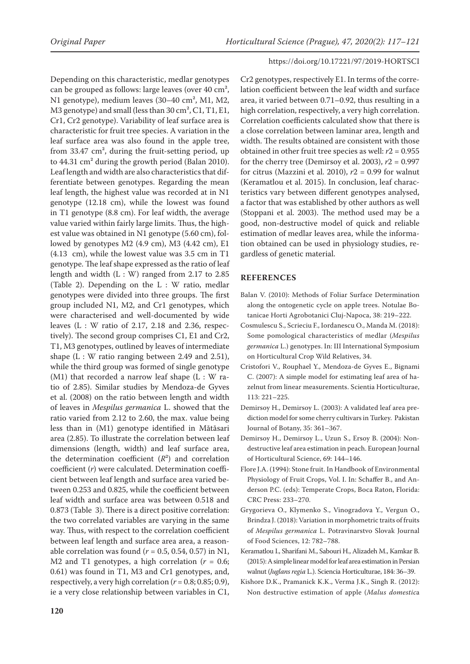Depending on this characteristic, medlar genotypes can be grouped as follows: large leaves (over 40 cm², N1 genotype), medium leaves (30–40 cm², M1, M2, M3 genotype) and small (less than 30 cm<sup>2</sup>, C1, T1, E1, Cr1, Cr2 genotype). Variability of leaf surface area is characteristic for fruit tree species. A variation in the leaf surface area was also found in the apple tree, from  $33.47 \text{ cm}^2$ , during the fruit-setting period, up to 44.31 cm² during the growth period (Balan 2010). Leaf length and width are also characteristics that differentiate between genotypes. Regarding the mean leaf length, the highest value was recorded at in N1 genotype (12.18 cm), while the lowest was found in T1 genotype (8.8 cm). For leaf width, the average value varied within fairly large limits. Thus, the highest value was obtained in N1 genotype (5.60 cm), followed by genotypes M2 (4.9 cm), M3 (4.42 cm), E1 (4.13 cm), while the lowest value was 3.5 cm in T1 genotype. The leaf shape expressed as the ratio of leaf length and width (L : W) ranged from 2.17 to 2.85 (Table 2). Depending on the  $L : W$  ratio, medlar genotypes were divided into three groups. The first group included N1, M2, and Cr1 genotypes, which were characterised and well-documented by wide leaves  $(L : W$  ratio of 2.17, 2.18 and 2.36, respectively). The second group comprises C1, E1 and Cr2, T1, M3 genotypes, outlined by leaves of intermediate shape (L : W ratio ranging between 2.49 and 2.51), while the third group was formed of single genotype (M1) that recorded a narrow leaf shape  $(L : W$  ratio of 2.85). Similar studies by Mendoza-de Gyves et al. (2008) on the ratio between length and width of leaves in *Mespilus germanica* L. showed that the ratio varied from 2.12 to 2.60, the max. value being less than in (M1) genotype identified in Mătăsari area (2.85). To illustrate the correlation between leaf dimensions (length, width) and leaf surface area, the determination coefficient  $(R^2)$  and correlation coefficient (*r*) were calculated. Determination coefficient between leaf length and surface area varied between 0.253 and 0.825, while the coefficient between leaf width and surface area was between 0.518 and 0.873 (Table 3). There is a direct positive correlation: the two correlated variables are varying in the same way. Thus, with respect to the correlation coefficient between leaf length and surface area area, a reasonable correlation was found  $(r = 0.5, 0.54, 0.57)$  in N1, M2 and T1 genotypes, a high correlation  $(r = 0.6;$ 0.61) was found in T1, M3 and Cr1 genotypes, and, respectively, a very high correlation  $(r = 0.8; 0.85; 0.9)$ , ie a very close relationship between variables in C1,

Cr2 genotypes, respectively E1. In terms of the correlation coefficient between the leaf width and surface area, it varied between 0.71–0.92, thus resulting in a high correlation, respectively, a very high correlation. Correlation coefficients calculated show that there is a close correlation between laminar area, length and width. The results obtained are consistent with those obtained in other fruit tree species as well: *r*2 = 0.955 for the cherry tree (Demirsoy et al. 2003), *r*2 = 0.997 for citrus (Mazzini et al. 2010), *r*2 = 0.99 for walnut (Keramatlou et al. 2015). In conclusion, leaf characteristics vary between different genotypes analysed, a factor that was established by other authors as well (Stoppani et al. 2003). The method used may be a good, non-destructive model of quick and reliable estimation of medlar leaves area, while the information obtained can be used in physiology studies, regardless of genetic material.

#### **REFERENCES**

- Balan V. (2010): Methods of Foliar Surface Determination along the ontogenetic cycle on apple trees. Notulae Botanicae Horti Agrobotanici Cluj-Napoca, 38: 219–222.
- Cosmulescu S., Scrieciu F., Iordanescu O., Manda M. (2018): Some pomological characteristics of medlar (*Mespilus germanica* L.) genotypes. In: III International Symposium on Horticultural Crop Wild Relatives, 34.
- Cristofori V., Rouphael Y., Mendoza-de Gyves E., Bignami C. (2007): A simple model for estimating leaf area of hazelnut from linear measurements. Scientia Horticulturae, 113: 221–225.
- Demirsoy H., Demirsoy L. (2003): A validated leaf area prediction model for some cherry cultivars in Turkey. Pakistan Journal of Botany, 35: 361–367.
- Demirsoy H., Demirsoy L., Uzun S., Ersoy B. (2004): Nondestructive leaf area estimation in peach. European Journal of Horticultural Science, 69: 144–146.
- Flore J.A. (1994): Stone fruit. In Handbook of Environmental Physiology of Fruit Crops, Vol. I. In: Schaffer B., and Anderson P.C. (eds): Temperate Crops, Boca Raton, Florida: CRC Press: 233–270.
- Grygorieva O., Klymenko S., Vinogradova Y., Vergun O., Brindza J. (2018): Variation in morphometric traits of fruits of *Mespilus germanica* L. Potravinarstvo Slovak Journal of Food Sciences, 12: 782–788.
- Keramatlou I., Sharifani M., Sabouri H., Alizadeh M., Kamkar B. (2015): A simple linear model for leaf area estimation in Persian walnut (*Juglans regia* L.). Sciencia Horticulturae, 184: 36–39.
- Kishore D.K., Pramanick K.K., Verma J.K., Singh R. (2012): Non destructive estimation of apple (*Malus domestic*a